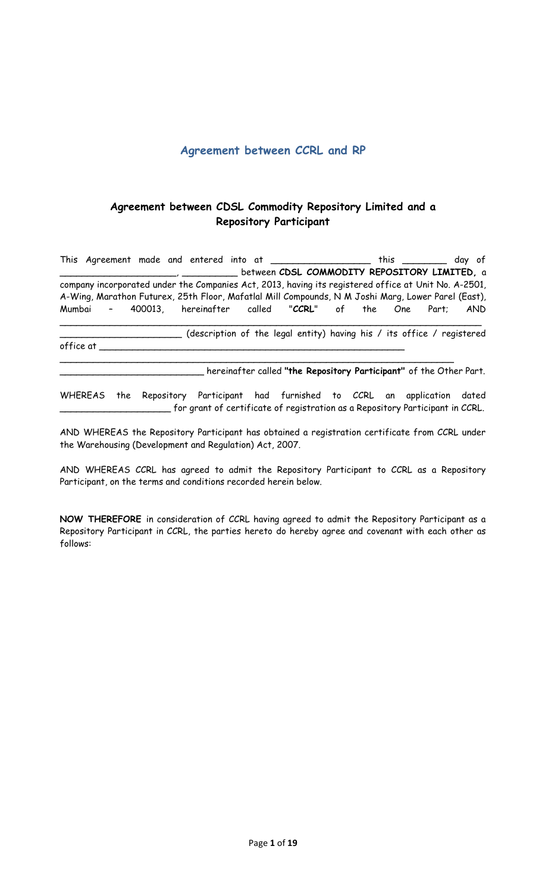## **Agreement between CCRL and RP**

# **Agreement between CDSL Commodity Repository Limited and a Repository Participant**

This Agreement made and entered into at \_\_\_\_\_\_\_\_\_\_\_\_\_\_\_\_\_\_\_\_ this \_\_\_\_\_\_\_\_\_ day of \_\_\_\_\_\_\_\_\_\_\_\_\_\_\_\_\_\_\_\_\_, \_\_\_\_\_\_\_\_\_\_ between **CDSL COMMODITY REPOSITORY LIMITED,** a company incorporated under the Companies Act, 2013, having its registered office at Unit No. A-2501, A-Wing, Marathon Futurex, 25th Floor, Mafatlal Mill Compounds, N M Joshi Marg, Lower Parel (East), Mumbai – 400013, hereinafter called "**CCRL**" of the One Part; AND

\_\_\_\_\_\_\_\_\_\_\_\_\_\_\_\_\_\_\_\_\_\_ (description of the legal entity) having his / its office / registered office at  $\_$ 

\_\_\_\_\_\_\_\_\_\_\_\_\_\_\_\_\_\_\_\_\_\_\_\_\_\_\_\_\_\_\_\_\_\_\_\_\_\_\_\_\_\_\_\_\_\_\_\_\_\_\_\_\_\_\_\_\_\_\_\_\_\_\_\_\_\_\_\_\_\_\_

\_\_\_\_\_\_\_\_\_\_\_\_\_\_\_\_\_\_\_\_\_\_\_\_\_\_\_\_\_\_\_\_\_\_\_\_\_\_\_\_\_\_\_\_\_\_\_\_\_\_\_\_\_\_\_\_\_\_\_\_\_\_\_\_\_\_\_\_\_\_\_\_\_\_\_\_

\_\_\_\_\_\_\_\_\_\_\_\_\_\_\_\_\_\_\_\_\_\_\_\_\_\_ hereinafter called **"the Repository Participant"** of the Other Part.

WHEREAS the Repository Participant had furnished to CCRL an application dated \_\_\_\_\_\_\_\_\_\_\_\_\_\_\_\_\_\_\_\_ for grant of certificate of registration as a Repository Participant in CCRL.

AND WHEREAS the Repository Participant has obtained a registration certificate from CCRL under the Warehousing (Development and Regulation) Act, 2007.

AND WHEREAS CCRL has agreed to admit the Repository Participant to CCRL as a Repository Participant, on the terms and conditions recorded herein below.

**NOW THEREFORE** in consideration of CCRL having agreed to admit the Repository Participant as a Repository Participant in CCRL, the parties hereto do hereby agree and covenant with each other as follows: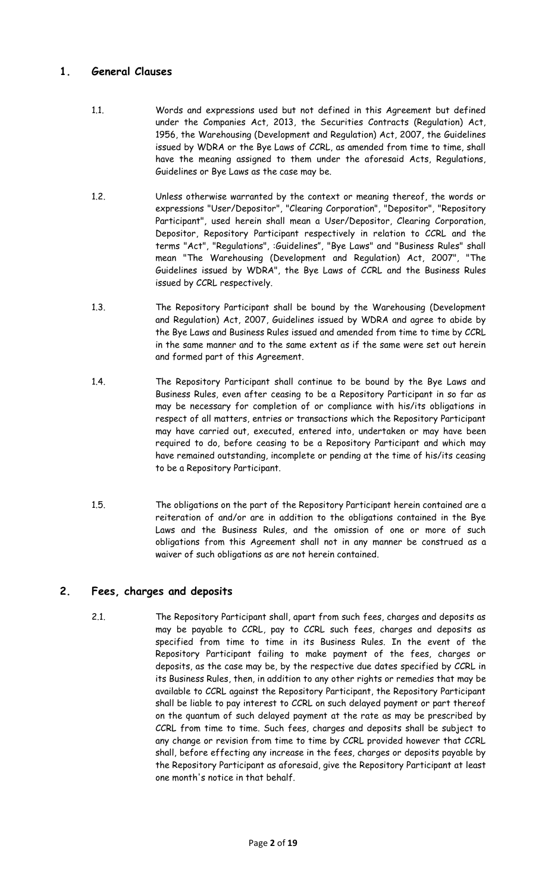### **1. General Clauses**

- 1.1. Words and expressions used but not defined in this Agreement but defined under the Companies Act, 2013, the Securities Contracts (Regulation) Act, 1956, the Warehousing (Development and Regulation) Act, 2007, the Guidelines issued by WDRA or the Bye Laws of CCRL, as amended from time to time, shall have the meaning assigned to them under the aforesaid Acts, Regulations, Guidelines or Bye Laws as the case may be.
- 1.2. Unless otherwise warranted by the context or meaning thereof, the words or expressions "User/Depositor", "Clearing Corporation", "Depositor", "Repository Participant", used herein shall mean a User/Depositor, Clearing Corporation, Depositor, Repository Participant respectively in relation to CCRL and the terms "Act", "Regulations", :Guidelines", "Bye Laws" and "Business Rules" shall mean "The Warehousing (Development and Regulation) Act, 2007", "The Guidelines issued by WDRA", the Bye Laws of CCRL and the Business Rules issued by CCRL respectively.
- 1.3. The Repository Participant shall be bound by the Warehousing (Development and Regulation) Act, 2007, Guidelines issued by WDRA and agree to abide by the Bye Laws and Business Rules issued and amended from time to time by CCRL in the same manner and to the same extent as if the same were set out herein and formed part of this Agreement.
- 1.4. The Repository Participant shall continue to be bound by the Bye Laws and Business Rules, even after ceasing to be a Repository Participant in so far as may be necessary for completion of or compliance with his/its obligations in respect of all matters, entries or transactions which the Repository Participant may have carried out, executed, entered into, undertaken or may have been required to do, before ceasing to be a Repository Participant and which may have remained outstanding, incomplete or pending at the time of his/its ceasing to be a Repository Participant.
- 1.5. The obligations on the part of the Repository Participant herein contained are a reiteration of and/or are in addition to the obligations contained in the Bye Laws and the Business Rules, and the omission of one or more of such obligations from this Agreement shall not in any manner be construed as a waiver of such obligations as are not herein contained.

# **2. Fees, charges and deposits**

2.1. The Repository Participant shall, apart from such fees, charges and deposits as may be payable to CCRL, pay to CCRL such fees, charges and deposits as specified from time to time in its Business Rules. In the event of the Repository Participant failing to make payment of the fees, charges or deposits, as the case may be, by the respective due dates specified by CCRL in its Business Rules, then, in addition to any other rights or remedies that may be available to CCRL against the Repository Participant, the Repository Participant shall be liable to pay interest to CCRL on such delayed payment or part thereof on the quantum of such delayed payment at the rate as may be prescribed by CCRL from time to time*.* Such fees, charges and deposits shall be subject to any change or revision from time to time by CCRL provided however that CCRL shall, before effecting any increase in the fees, charges or deposits payable by the Repository Participant as aforesaid, give the Repository Participant at least one month's notice in that behalf.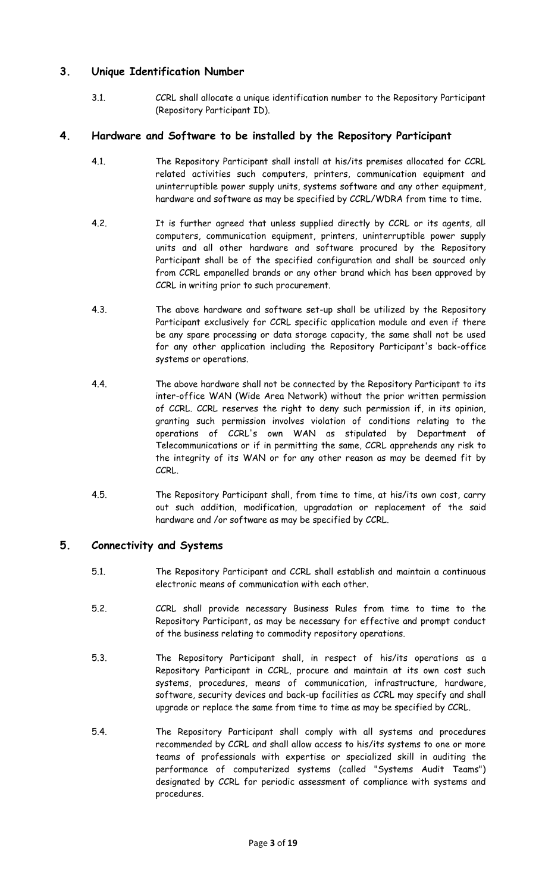## **3. Unique Identification Number**

3.1. CCRL shall allocate a unique identification number to the Repository Participant (Repository Participant ID).

### **4. Hardware and Software to be installed by the Repository Participant**

- 4.1. The Repository Participant shall install at his/its premises allocated for CCRL related activities such computers, printers, communication equipment and uninterruptible power supply units, systems software and any other equipment, hardware and software as may be specified by CCRL/WDRA from time to time.
- 4.2. It is further agreed that unless supplied directly by CCRL or its agents, all computers, communication equipment, printers, uninterruptible power supply units and all other hardware and software procured by the Repository Participant shall be of the specified configuration and shall be sourced only from CCRL empanelled brands or any other brand which has been approved by CCRL in writing prior to such procurement.
- 4.3. The above hardware and software set-up shall be utilized by the Repository Participant exclusively for CCRL specific application module and even if there be any spare processing or data storage capacity, the same shall not be used for any other application including the Repository Participant's back-office systems or operations.
- 4.4. The above hardware shall not be connected by the Repository Participant to its inter-office WAN (Wide Area Network) without the prior written permission of CCRL. CCRL reserves the right to deny such permission if, in its opinion, granting such permission involves violation of conditions relating to the operations of CCRL's own WAN as stipulated by Department of Telecommunications or if in permitting the same, CCRL apprehends any risk to the integrity of its WAN or for any other reason as may be deemed fit by CCRL.
- 4.5. The Repository Participant shall, from time to time, at his/its own cost, carry out such addition, modification, upgradation or replacement of the said hardware and /or software as may be specified by CCRL.

### **5. Connectivity and Systems**

- 5.1. The Repository Participant and CCRL shall establish and maintain a continuous electronic means of communication with each other.
- 5.2. CCRL shall provide necessary Business Rules from time to time to the Repository Participant, as may be necessary for effective and prompt conduct of the business relating to commodity repository operations.
- 5.3. The Repository Participant shall, in respect of his/its operations as a Repository Participant in CCRL, procure and maintain at its own cost such systems, procedures, means of communication, infrastructure, hardware, software, security devices and back-up facilities as CCRL may specify and shall upgrade or replace the same from time to time as may be specified by CCRL.
- 5.4. The Repository Participant shall comply with all systems and procedures recommended by CCRL and shall allow access to his/its systems to one or more teams of professionals with expertise or specialized skill in auditing the performance of computerized systems (called "Systems Audit Teams") designated by CCRL for periodic assessment of compliance with systems and procedures.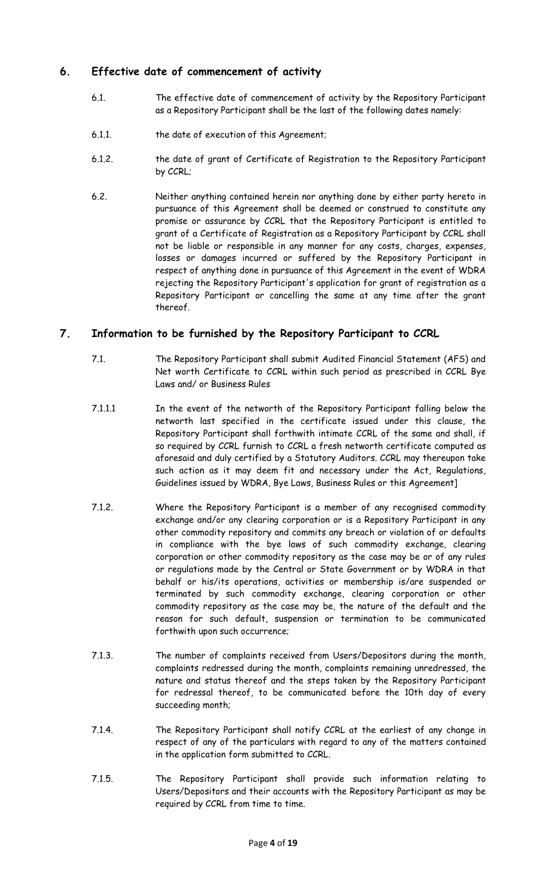## **6. Effective date of commencement of activity**

- 6.1. The effective date of commencement of activity by the Repository Participant as a Repository Participant shall be the last of the following dates namely:
- 6.1.1. the date of execution of this Agreement;
- 6.1.2. the date of grant of Certificate of Registration to the Repository Participant by CCRL;
- 6.2. Neither anything contained herein nor anything done by either party hereto in pursuance of this Agreement shall be deemed or construed to constitute any promise or assurance by CCRL that the Repository Participant is entitled to grant of a Certificate of Registration as a Repository Participant by CCRL shall not be liable or responsible in any manner for any costs, charges, expenses, losses or damages incurred or suffered by the Repository Participant in respect of anything done in pursuance of this Agreement in the event of WDRA rejecting the Repository Participant's application for grant of registration as a Repository Participant or cancelling the same at any time after the grant thereof.

## **7. Information to be furnished by the Repository Participant to CCRL**

- 7.1. The Repository Participant shall submit Audited Financial Statement (AFS) and Net worth Certificate to CCRL within such period as prescribed in CCRL Bye Laws and/ or Business Rules
- 7.1.1.1 In the event of the networth of the Repository Participant falling below the networth last specified in the certificate issued under this clause, the Repository Participant shall forthwith intimate CCRL of the same and shall, if so required by CCRL furnish to CCRL a fresh networth certificate computed as aforesaid and duly certified by a Statutory Auditors. CCRL may thereupon take such action as it may deem fit and necessary under the Act, Regulations, Guidelines issued by WDRA, Bye Laws, Business Rules or this Agreement]
- 7.1.2. Where the Repository Participant is a member of any recognised commodity exchange and/or any clearing corporation or is a Repository Participant in any other commodity repository and commits any breach or violation of or defaults in compliance with the bye laws of such commodity exchange, clearing corporation or other commodity repository as the case may be or of any rules or regulations made by the Central or State Government or by WDRA in that behalf or his/its operations, activities or membership is/are suspended or terminated by such commodity exchange, clearing corporation or other commodity repository as the case may be, the nature of the default and the reason for such default, suspension or termination to be communicated forthwith upon such occurrence;
- 7.1.3. The number of complaints received from Users/Depositors during the month, complaints redressed during the month, complaints remaining unredressed, the nature and status thereof and the steps taken by the Repository Participant for redressal thereof, to be communicated before the 10th day of every succeeding month;
- 7.1.4. The Repository Participant shall notify CCRL at the earliest of any change in respect of any of the particulars with regard to any of the matters contained in the application form submitted to CCRL.
- 7.1.5. The Repository Participant shall provide such information relating to Users/Depositors and their accounts with the Repository Participant as may be required by CCRL from time to time.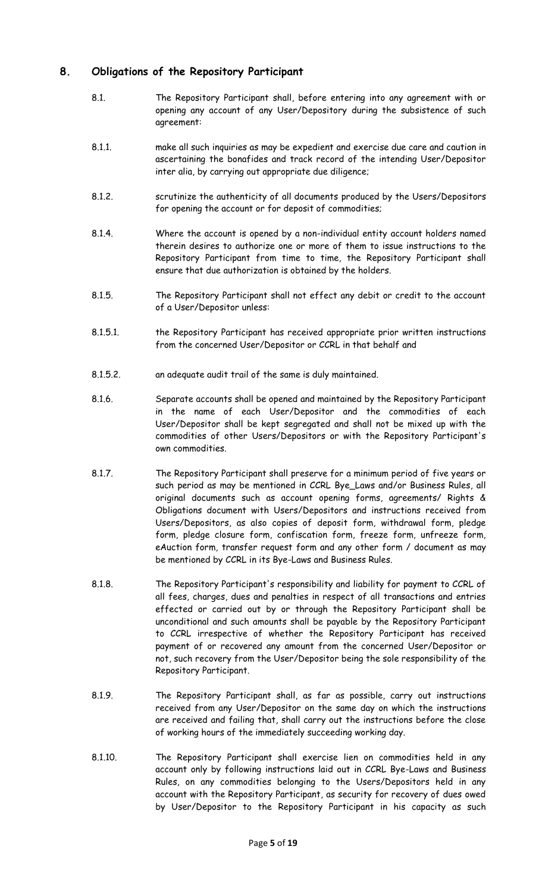### **8. Obligations of the Repository Participant**

- 8.1. The Repository Participant shall, before entering into any agreement with or opening any account of any User/Depository during the subsistence of such agreement:
- 8.1.1. make all such inquiries as may be expedient and exercise due care and caution in ascertaining the bonafides and track record of the intending User/Depositor inter alia, by carrying out appropriate due diligence;
- 8.1.2. scrutinize the authenticity of all documents produced by the Users/Depositors for opening the account or for deposit of commodities;
- 8.1.4. Where the account is opened by a non-individual entity account holders named therein desires to authorize one or more of them to issue instructions to the Repository Participant from time to time, the Repository Participant shall ensure that due authorization is obtained by the holders.
- 8.1.5. The Repository Participant shall not effect any debit or credit to the account of a User/Depositor unless:
- 8.1.5.1. the Repository Participant has received appropriate prior written instructions from the concerned User/Depositor or CCRL in that behalf and
- 8.1.5.2. an adequate audit trail of the same is duly maintained.
- 8.1.6. Separate accounts shall be opened and maintained by the Repository Participant in the name of each User/Depositor and the commodities of each User/Depositor shall be kept segregated and shall not be mixed up with the commodities of other Users/Depositors or with the Repository Participant's own commodities.
- 8.1.7. The Repository Participant shall preserve for a minimum period of five years or such period as may be mentioned in CCRL Bye\_Laws and/or Business Rules, all original documents such as account opening forms, agreements/ Rights & Obligations document with Users/Depositors and instructions received from Users/Depositors, as also copies of deposit form, withdrawal form, pledge form, pledge closure form, confiscation form, freeze form, unfreeze form, eAuction form, transfer request form and any other form / document as may be mentioned by CCRL in its Bye-Laws and Business Rules.
- 8.1.8. The Repository Participant's responsibility and liability for payment to CCRL of all fees, charges, dues and penalties in respect of all transactions and entries effected or carried out by or through the Repository Participant shall be unconditional and such amounts shall be payable by the Repository Participant to CCRL irrespective of whether the Repository Participant has received payment of or recovered any amount from the concerned User/Depositor or not, such recovery from the User/Depositor being the sole responsibility of the Repository Participant.
- 8.1.9. The Repository Participant shall, as far as possible, carry out instructions received from any User/Depositor on the same day on which the instructions are received and failing that, shall carry out the instructions before the close of working hours of the immediately succeeding working day.
- 8.1.10. The Repository Participant shall exercise lien on commodities held in any account only by following instructions laid out in CCRL Bye-Laws and Business Rules, on any commodities belonging to the Users/Depositors held in any account with the Repository Participant, as security for recovery of dues owed by User/Depositor to the Repository Participant in his capacity as such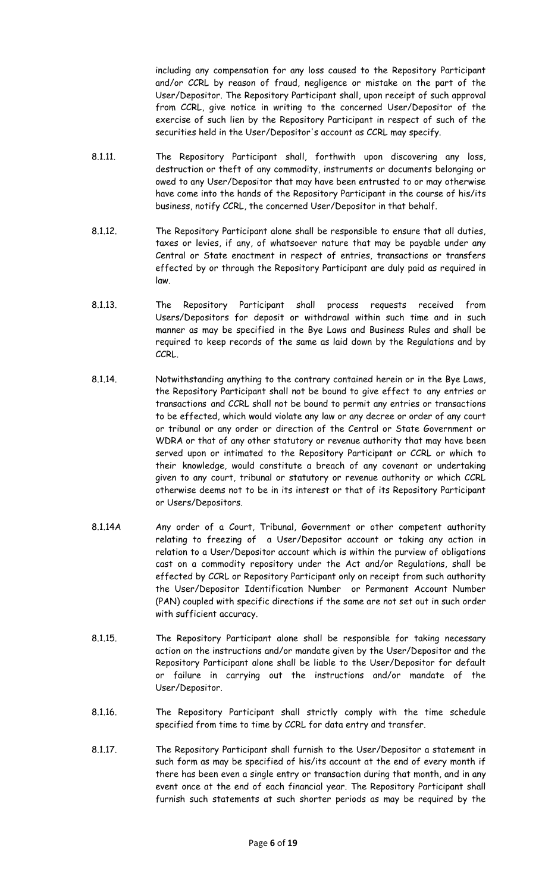including any compensation for any loss caused to the Repository Participant and/or CCRL by reason of fraud, negligence or mistake on the part of the User/Depositor. The Repository Participant shall, upon receipt of such approval from CCRL, give notice in writing to the concerned User/Depositor of the exercise of such lien by the Repository Participant in respect of such of the securities held in the User/Depositor's account as CCRL may specify.

- 8.1.11. The Repository Participant shall, forthwith upon discovering any loss, destruction or theft of any commodity, instruments or documents belonging or owed to any User/Depositor that may have been entrusted to or may otherwise have come into the hands of the Repository Participant in the course of his/its business, notify CCRL, the concerned User/Depositor in that behalf.
- 8.1.12. The Repository Participant alone shall be responsible to ensure that all duties, taxes or levies, if any, of whatsoever nature that may be payable under any Central or State enactment in respect of entries, transactions or transfers effected by or through the Repository Participant are duly paid as required in law.
- 8.1.13. The Repository Participant shall process requests received from Users/Depositors for deposit or withdrawal within such time and in such manner as may be specified in the Bye Laws and Business Rules and shall be required to keep records of the same as laid down by the Regulations and by CCRL.
- 8.1.14. Notwithstanding anything to the contrary contained herein or in the Bye Laws, the Repository Participant shall not be bound to give effect to any entries or transactions and CCRL shall not be bound to permit any entries or transactions to be effected, which would violate any law or any decree or order of any court or tribunal or any order or direction of the Central or State Government or WDRA or that of any other statutory or revenue authority that may have been served upon or intimated to the Repository Participant or CCRL or which to their knowledge, would constitute a breach of any covenant or undertaking given to any court, tribunal or statutory or revenue authority or which CCRL otherwise deems not to be in its interest or that of its Repository Participant or Users/Depositors.
- 8.1.14A Any order of a Court, Tribunal, Government or other competent authority relating to freezing of a User/Depositor account or taking any action in relation to a User/Depositor account which is within the purview of obligations cast on a commodity repository under the Act and/or Regulations, shall be effected by CCRL or Repository Participant only on receipt from such authority the User/Depositor Identification Number or Permanent Account Number (PAN) coupled with specific directions if the same are not set out in such order with sufficient accuracy.
- 8.1.15. The Repository Participant alone shall be responsible for taking necessary action on the instructions and/or mandate given by the User/Depositor and the Repository Participant alone shall be liable to the User/Depositor for default or failure in carrying out the instructions and/or mandate of the User/Depositor.
- 8.1.16. The Repository Participant shall strictly comply with the time schedule specified from time to time by CCRL for data entry and transfer.
- 8.1.17. The Repository Participant shall furnish to the User/Depositor a statement in such form as may be specified of his/its account at the end of every month if there has been even a single entry or transaction during that month, and in any event once at the end of each financial year. The Repository Participant shall furnish such statements at such shorter periods as may be required by the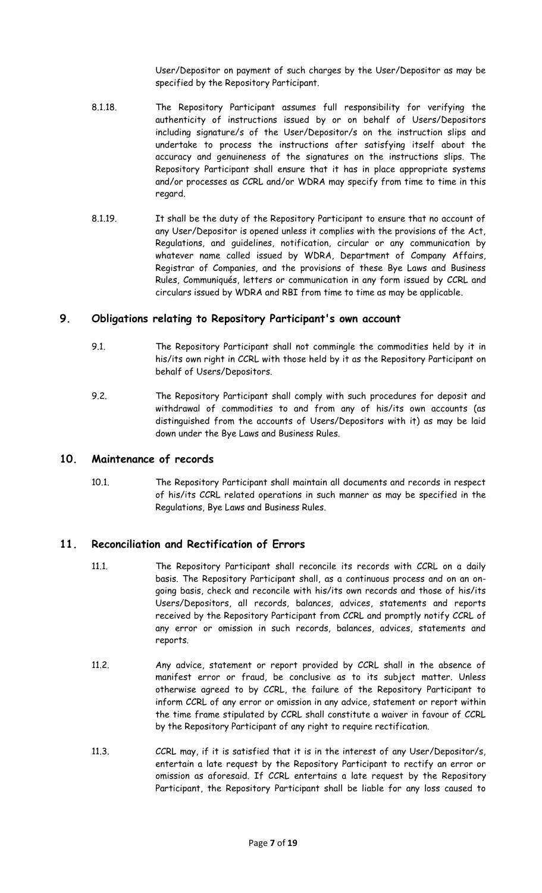User/Depositor on payment of such charges by the User/Depositor as may be specified by the Repository Participant.

- 8.1.18. The Repository Participant assumes full responsibility for verifying the authenticity of instructions issued by or on behalf of Users/Depositors including signature/s of the User/Depositor/s on the instruction slips and undertake to process the instructions after satisfying itself about the accuracy and genuineness of the signatures on the instructions slips. The Repository Participant shall ensure that it has in place appropriate systems and/or processes as CCRL and/or WDRA may specify from time to time in this regard.
- 8.1.19. It shall be the duty of the Repository Participant to ensure that no account of any User/Depositor is opened unless it complies with the provisions of the Act, Regulations, and guidelines, notification, circular or any communication by whatever name called issued by WDRA, Department of Company Affairs, Registrar of Companies, and the provisions of these Bye Laws and Business Rules, Communiqués, letters or communication in any form issued by CCRL and circulars issued by WDRA and RBI from time to time as may be applicable.

#### **9. Obligations relating to Repository Participant's own account**

- 9.1. The Repository Participant shall not commingle the commodities held by it in his/its own right in CCRL with those held by it as the Repository Participant on behalf of Users/Depositors.
- 9.2. The Repository Participant shall comply with such procedures for deposit and withdrawal of commodities to and from any of his/its own accounts (as distinguished from the accounts of Users/Depositors with it) as may be laid down under the Bye Laws and Business Rules.

#### **10. Maintenance of records**

10.1. The Repository Participant shall maintain all documents and records in respect of his/its CCRL related operations in such manner as may be specified in the Regulations, Bye Laws and Business Rules.

#### **11. Reconciliation and Rectification of Errors**

- 11.1. The Repository Participant shall reconcile its records with CCRL on a daily basis. The Repository Participant shall, as a continuous process and on an ongoing basis, check and reconcile with his/its own records and those of his/its Users/Depositors, all records, balances, advices, statements and reports received by the Repository Participant from CCRL and promptly notify CCRL of any error or omission in such records, balances, advices, statements and reports.
- 11.2. Any advice, statement or report provided by CCRL shall in the absence of manifest error or fraud, be conclusive as to its subject matter. Unless otherwise agreed to by CCRL, the failure of the Repository Participant to inform CCRL of any error or omission in any advice, statement or report within the time frame stipulated by CCRL shall constitute a waiver in favour of CCRL by the Repository Participant of any right to require rectification.
- 11.3. CCRL may, if it is satisfied that it is in the interest of any User/Depositor/s, entertain a late request by the Repository Participant to rectify an error or omission as aforesaid. If CCRL entertains a late request by the Repository Participant, the Repository Participant shall be liable for any loss caused to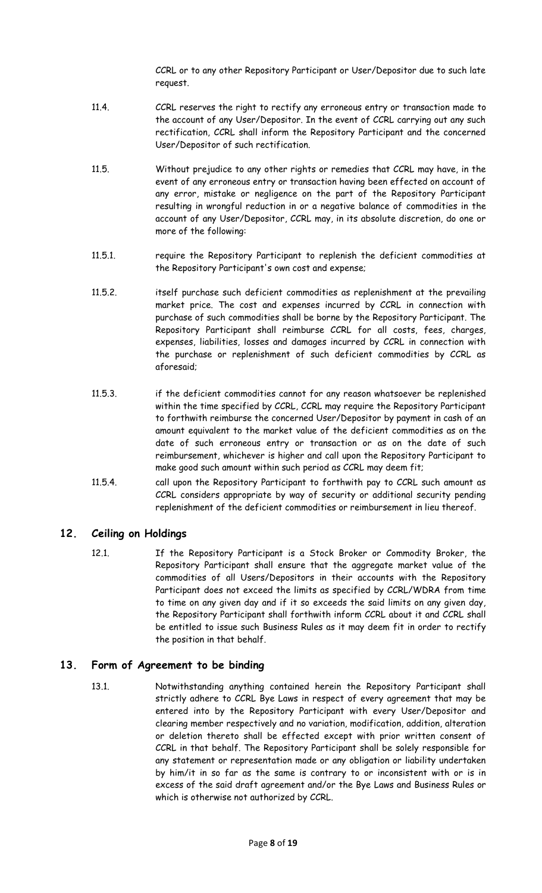CCRL or to any other Repository Participant or User/Depositor due to such late request.

- 11.4. CCRL reserves the right to rectify any erroneous entry or transaction made to the account of any User/Depositor. In the event of CCRL carrying out any such rectification, CCRL shall inform the Repository Participant and the concerned User/Depositor of such rectification.
- 11.5. Without prejudice to any other rights or remedies that CCRL may have, in the event of any erroneous entry or transaction having been effected on account of any error, mistake or negligence on the part of the Repository Participant resulting in wrongful reduction in or a negative balance of commodities in the account of any User/Depositor, CCRL may, in its absolute discretion, do one or more of the following:
- 11.5.1. require the Repository Participant to replenish the deficient commodities at the Repository Participant's own cost and expense;
- 11.5.2. itself purchase such deficient commodities as replenishment at the prevailing market price. The cost and expenses incurred by CCRL in connection with purchase of such commodities shall be borne by the Repository Participant. The Repository Participant shall reimburse CCRL for all costs, fees, charges, expenses, liabilities, losses and damages incurred by CCRL in connection with the purchase or replenishment of such deficient commodities by CCRL as aforesaid;
- 11.5.3. if the deficient commodities cannot for any reason whatsoever be replenished within the time specified by CCRL, CCRL may require the Repository Participant to forthwith reimburse the concerned User/Depositor by payment in cash of an amount equivalent to the market value of the deficient commodities as on the date of such erroneous entry or transaction or as on the date of such reimbursement, whichever is higher and call upon the Repository Participant to make good such amount within such period as CCRL may deem fit;
- 11.5.4. call upon the Repository Participant to forthwith pay to CCRL such amount as CCRL considers appropriate by way of security or additional security pending replenishment of the deficient commodities or reimbursement in lieu thereof.

### **12. Ceiling on Holdings**

12.1. If the Repository Participant is a Stock Broker or Commodity Broker, the Repository Participant shall ensure that the aggregate market value of the commodities of all Users/Depositors in their accounts with the Repository Participant does not exceed the limits as specified by CCRL/WDRA from time to time on any given day and if it so exceeds the said limits on any given day, the Repository Participant shall forthwith inform CCRL about it and CCRL shall be entitled to issue such Business Rules as it may deem fit in order to rectify the position in that behalf.

### **13. Form of Agreement to be binding**

13.1. Notwithstanding anything contained herein the Repository Participant shall strictly adhere to CCRL Bye Laws in respect of every agreement that may be entered into by the Repository Participant with every User/Depositor and clearing member respectively and no variation, modification, addition, alteration or deletion thereto shall be effected except with prior written consent of CCRL in that behalf. The Repository Participant shall be solely responsible for any statement or representation made or any obligation or liability undertaken by him/it in so far as the same is contrary to or inconsistent with or is in excess of the said draft agreement and/or the Bye Laws and Business Rules or which is otherwise not authorized by CCRL.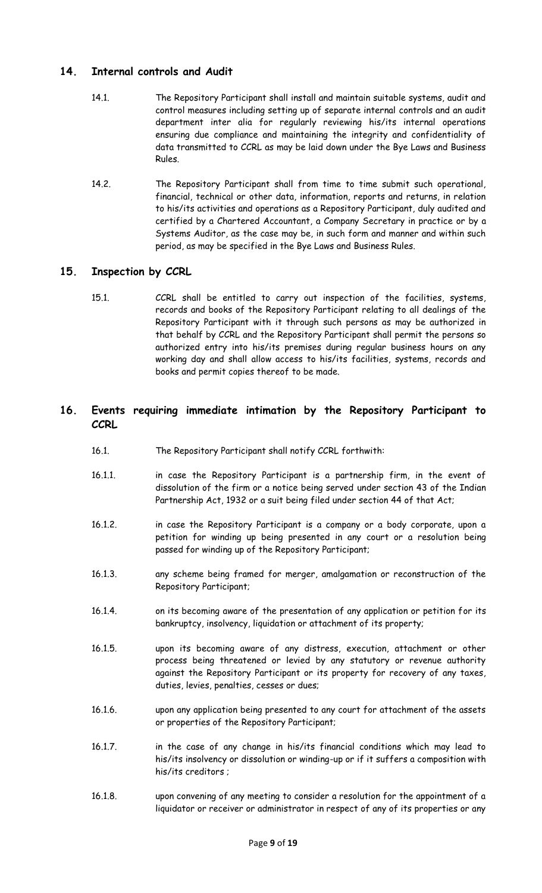### **14. Internal controls and Audit**

- 14.1. The Repository Participant shall install and maintain suitable systems, audit and control measures including setting up of separate internal controls and an audit department inter alia for regularly reviewing his/its internal operations ensuring due compliance and maintaining the integrity and confidentiality of data transmitted to CCRL as may be laid down under the Bye Laws and Business Rules.
- 14.2. The Repository Participant shall from time to time submit such operational, financial, technical or other data, information, reports and returns, in relation to his/its activities and operations as a Repository Participant, duly audited and certified by a Chartered Accountant, a Company Secretary in practice or by a Systems Auditor, as the case may be, in such form and manner and within such period, as may be specified in the Bye Laws and Business Rules.

## **15. Inspection by CCRL**

15.1. CCRL shall be entitled to carry out inspection of the facilities, systems, records and books of the Repository Participant relating to all dealings of the Repository Participant with it through such persons as may be authorized in that behalf by CCRL and the Repository Participant shall permit the persons so authorized entry into his/its premises during regular business hours on any working day and shall allow access to his/its facilities, systems, records and books and permit copies thereof to be made.

### **16. Events requiring immediate intimation by the Repository Participant to CCRL**

- 16.1. The Repository Participant shall notify CCRL forthwith:
- 16.1.1. in case the Repository Participant is a partnership firm, in the event of dissolution of the firm or a notice being served under section 43 of the Indian Partnership Act, 1932 or a suit being filed under section 44 of that Act;
- 16.1.2. in case the Repository Participant is a company or a body corporate, upon a petition for winding up being presented in any court or a resolution being passed for winding up of the Repository Participant;
- 16.1.3. any scheme being framed for merger, amalgamation or reconstruction of the Repository Participant;
- 16.1.4. on its becoming aware of the presentation of any application or petition for its bankruptcy, insolvency, liquidation or attachment of its property;
- 16.1.5. upon its becoming aware of any distress, execution, attachment or other process being threatened or levied by any statutory or revenue authority against the Repository Participant or its property for recovery of any taxes, duties, levies, penalties, cesses or dues;
- 16.1.6. upon any application being presented to any court for attachment of the assets or properties of the Repository Participant;
- 16.1.7. in the case of any change in his/its financial conditions which may lead to his/its insolvency or dissolution or winding-up or if it suffers a composition with his/its creditors ;
- 16.1.8. upon convening of any meeting to consider a resolution for the appointment of a liquidator or receiver or administrator in respect of any of its properties or any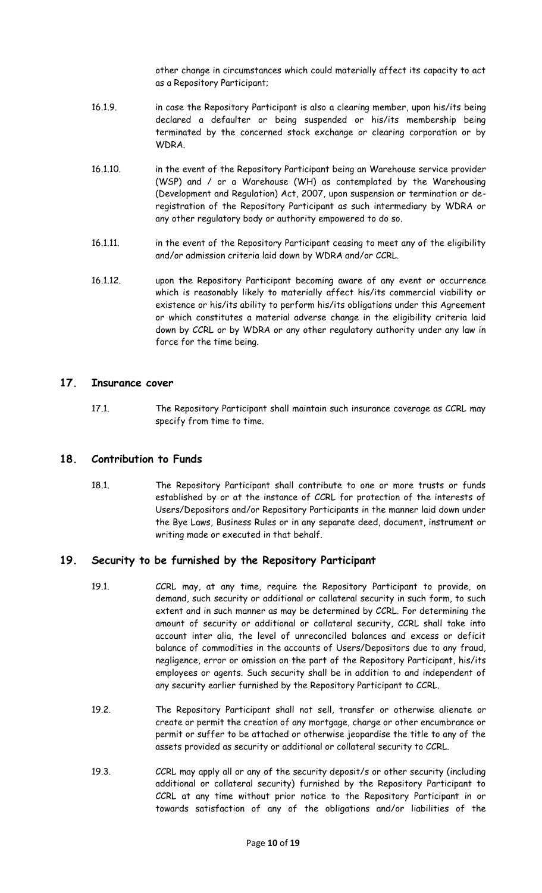other change in circumstances which could materially affect its capacity to act as a Repository Participant;

- 16.1.9. in case the Repository Participant is also a clearing member, upon his/its being declared a defaulter or being suspended or his/its membership being terminated by the concerned stock exchange or clearing corporation or by WDRA.
- 16.1.10. in the event of the Repository Participant being an Warehouse service provider (WSP) and / or a Warehouse (WH) as contemplated by the Warehousing (Development and Regulation) Act, 2007, upon suspension or termination or deregistration of the Repository Participant as such intermediary by WDRA or any other regulatory body or authority empowered to do so.
- 16.1.11. in the event of the Repository Participant ceasing to meet any of the eligibility and/or admission criteria laid down by WDRA and/or CCRL.
- 16.1.12. upon the Repository Participant becoming aware of any event or occurrence which is reasonably likely to materially affect his/its commercial viability or existence or his/its ability to perform his/its obligations under this Agreement or which constitutes a material adverse change in the eligibility criteria laid down by CCRL or by WDRA or any other regulatory authority under any law in force for the time being.

#### **17. Insurance cover**

17.1. The Repository Participant shall maintain such insurance coverage as CCRL may specify from time to time.

#### **18. Contribution to Funds**

18.1. The Repository Participant shall contribute to one or more trusts or funds established by or at the instance of CCRL for protection of the interests of Users/Depositors and/or Repository Participants in the manner laid down under the Bye Laws, Business Rules or in any separate deed, document, instrument or writing made or executed in that behalf.

### **19. Security to be furnished by the Repository Participant**

- 19.1. CCRL may, at any time, require the Repository Participant to provide, on demand, such security or additional or collateral security in such form, to such extent and in such manner as may be determined by CCRL. For determining the amount of security or additional or collateral security, CCRL shall take into account inter alia, the level of unreconciled balances and excess or deficit balance of commodities in the accounts of Users/Depositors due to any fraud, negligence, error or omission on the part of the Repository Participant, his/its employees or agents. Such security shall be in addition to and independent of any security earlier furnished by the Repository Participant to CCRL.
- 19.2. The Repository Participant shall not sell, transfer or otherwise alienate or create or permit the creation of any mortgage, charge or other encumbrance or permit or suffer to be attached or otherwise jeopardise the title to any of the assets provided as security or additional or collateral security to CCRL.
- 19.3. CCRL may apply all or any of the security deposit/s or other security (including additional or collateral security) furnished by the Repository Participant to CCRL at any time without prior notice to the Repository Participant in or towards satisfaction of any of the obligations and/or liabilities of the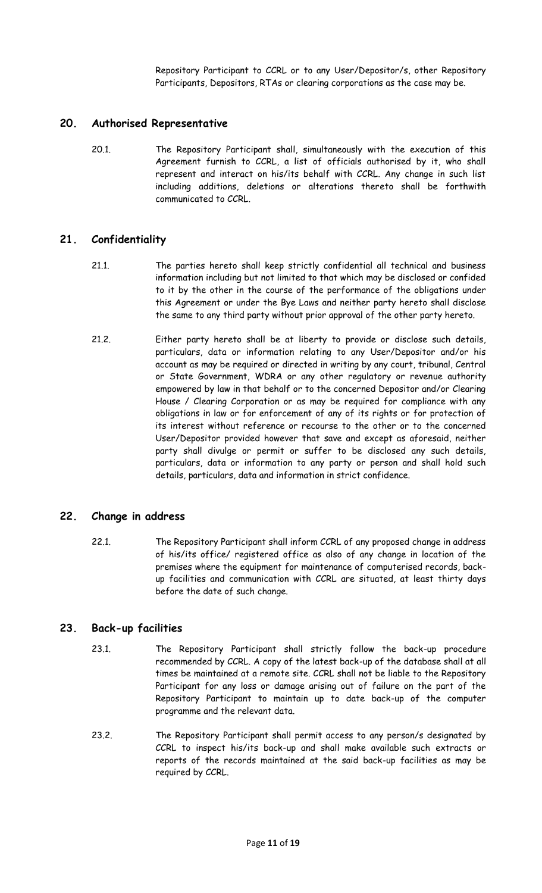Repository Participant to CCRL or to any User/Depositor/s, other Repository Participants, Depositors, RTAs or clearing corporations as the case may be.

#### **20. Authorised Representative**

20.1. The Repository Participant shall, simultaneously with the execution of this Agreement furnish to CCRL, a list of officials authorised by it, who shall represent and interact on his/its behalf with CCRL. Any change in such list including additions, deletions or alterations thereto shall be forthwith communicated to CCRL.

#### **21. Confidentiality**

- 21.1. The parties hereto shall keep strictly confidential all technical and business information including but not limited to that which may be disclosed or confided to it by the other in the course of the performance of the obligations under this Agreement or under the Bye Laws and neither party hereto shall disclose the same to any third party without prior approval of the other party hereto.
- 21.2. Either party hereto shall be at liberty to provide or disclose such details, particulars, data or information relating to any User/Depositor and/or his account as may be required or directed in writing by any court, tribunal, Central or State Government, WDRA or any other regulatory or revenue authority empowered by law in that behalf or to the concerned Depositor and/or Clearing House / Clearing Corporation or as may be required for compliance with any obligations in law or for enforcement of any of its rights or for protection of its interest without reference or recourse to the other or to the concerned User/Depositor provided however that save and except as aforesaid, neither party shall divulge or permit or suffer to be disclosed any such details, particulars, data or information to any party or person and shall hold such details, particulars, data and information in strict confidence.

#### **22. Change in address**

22.1. The Repository Participant shall inform CCRL of any proposed change in address of his/its office/ registered office as also of any change in location of the premises where the equipment for maintenance of computerised records, backup facilities and communication with CCRL are situated, at least thirty days before the date of such change.

#### **23. Back-up facilities**

- 23.1. The Repository Participant shall strictly follow the back-up procedure recommended by CCRL. A copy of the latest back-up of the database shall at all times be maintained at a remote site. CCRL shall not be liable to the Repository Participant for any loss or damage arising out of failure on the part of the Repository Participant to maintain up to date back-up of the computer programme and the relevant data.
- 23.2. The Repository Participant shall permit access to any person/s designated by CCRL to inspect his/its back-up and shall make available such extracts or reports of the records maintained at the said back-up facilities as may be required by CCRL.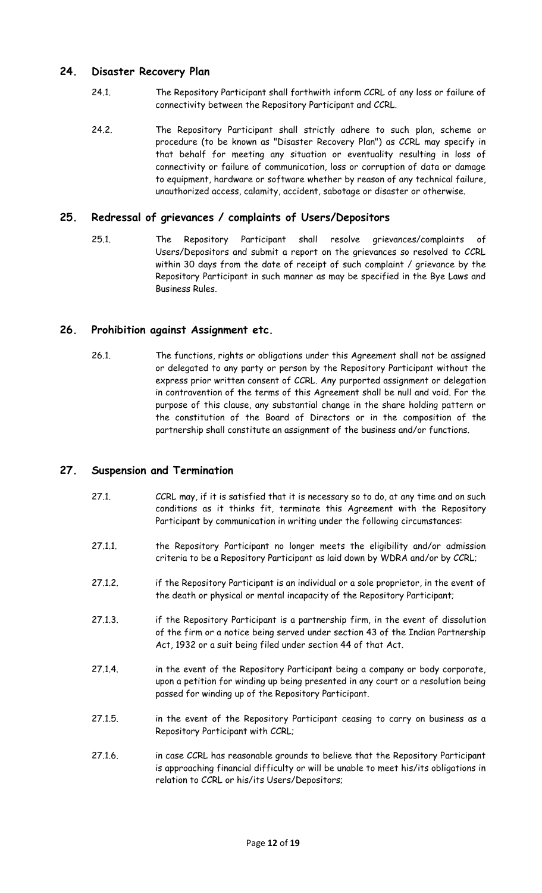### **24. Disaster Recovery Plan**

- 24.1. The Repository Participant shall forthwith inform CCRL of any loss or failure of connectivity between the Repository Participant and CCRL.
- 24.2. The Repository Participant shall strictly adhere to such plan, scheme or procedure (to be known as "Disaster Recovery Plan") as CCRL may specify in that behalf for meeting any situation or eventuality resulting in loss of connectivity or failure of communication, loss or corruption of data or damage to equipment, hardware or software whether by reason of any technical failure, unauthorized access, calamity, accident, sabotage or disaster or otherwise.

### **25. Redressal of grievances / complaints of Users/Depositors**

25.1. The Repository Participant shall resolve grievances/complaints of Users/Depositors and submit a report on the grievances so resolved to CCRL within 30 days from the date of receipt of such complaint / grievance by the Repository Participant in such manner as may be specified in the Bye Laws and Business Rules.

#### **26. Prohibition against Assignment etc.**

26.1. The functions, rights or obligations under this Agreement shall not be assigned or delegated to any party or person by the Repository Participant without the express prior written consent of CCRL. Any purported assignment or delegation in contravention of the terms of this Agreement shall be null and void. For the purpose of this clause, any substantial change in the share holding pattern or the constitution of the Board of Directors or in the composition of the partnership shall constitute an assignment of the business and/or functions.

#### **27. Suspension and Termination**

- 27.1. CCRL may, if it is satisfied that it is necessary so to do, at any time and on such conditions as it thinks fit, terminate this Agreement with the Repository Participant by communication in writing under the following circumstances:
- 27.1.1. the Repository Participant no longer meets the eligibility and/or admission criteria to be a Repository Participant as laid down by WDRA and/or by CCRL;
- 27.1.2. if the Repository Participant is an individual or a sole proprietor, in the event of the death or physical or mental incapacity of the Repository Participant;
- 27.1.3. if the Repository Participant is a partnership firm, in the event of dissolution of the firm or a notice being served under section 43 of the Indian Partnership Act, 1932 or a suit being filed under section 44 of that Act.
- 27.1.4. in the event of the Repository Participant being a company or body corporate, upon a petition for winding up being presented in any court or a resolution being passed for winding up of the Repository Participant.
- 27.1.5. in the event of the Repository Participant ceasing to carry on business as a Repository Participant with CCRL;
- 27.1.6. in case CCRL has reasonable grounds to believe that the Repository Participant is approaching financial difficulty or will be unable to meet his/its obligations in relation to CCRL or his/its Users/Depositors;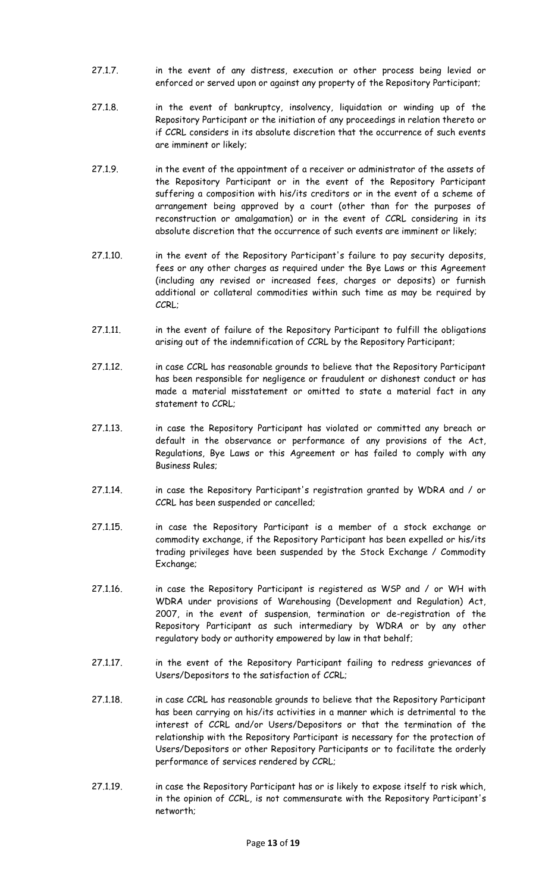- 27.1.7. in the event of any distress, execution or other process being levied or enforced or served upon or against any property of the Repository Participant;
- 27.1.8. in the event of bankruptcy, insolvency, liquidation or winding up of the Repository Participant or the initiation of any proceedings in relation thereto or if CCRL considers in its absolute discretion that the occurrence of such events are imminent or likely;
- 27.1.9. in the event of the appointment of a receiver or administrator of the assets of the Repository Participant or in the event of the Repository Participant suffering a composition with his/its creditors or in the event of a scheme of arrangement being approved by a court (other than for the purposes of reconstruction or amalgamation) or in the event of CCRL considering in its absolute discretion that the occurrence of such events are imminent or likely;
- 27.1.10. in the event of the Repository Participant's failure to pay security deposits, fees or any other charges as required under the Bye Laws or this Agreement (including any revised or increased fees, charges or deposits) or furnish additional or collateral commodities within such time as may be required by CCRL;
- 27.1.11. in the event of failure of the Repository Participant to fulfill the obligations arising out of the indemnification of CCRL by the Repository Participant;
- 27.1.12. in case CCRL has reasonable grounds to believe that the Repository Participant has been responsible for negligence or fraudulent or dishonest conduct or has made a material misstatement or omitted to state a material fact in any statement to CCRL;
- 27.1.13. in case the Repository Participant has violated or committed any breach or default in the observance or performance of any provisions of the Act, Regulations, Bye Laws or this Agreement or has failed to comply with any Business Rules;
- 27.1.14. in case the Repository Participant's registration granted by WDRA and / or CCRL has been suspended or cancelled;
- 27.1.15. in case the Repository Participant is a member of a stock exchange or commodity exchange, if the Repository Participant has been expelled or his/its trading privileges have been suspended by the Stock Exchange / Commodity Exchange;
- 27.1.16. in case the Repository Participant is registered as WSP and / or WH with WDRA under provisions of Warehousing (Development and Regulation) Act, 2007, in the event of suspension, termination or de-registration of the Repository Participant as such intermediary by WDRA or by any other regulatory body or authority empowered by law in that behalf;
- 27.1.17. in the event of the Repository Participant failing to redress grievances of Users/Depositors to the satisfaction of CCRL;
- 27.1.18. in case CCRL has reasonable grounds to believe that the Repository Participant has been carrying on his/its activities in a manner which is detrimental to the interest of CCRL and/or Users/Depositors or that the termination of the relationship with the Repository Participant is necessary for the protection of Users/Depositors or other Repository Participants or to facilitate the orderly performance of services rendered by CCRL;
- 27.1.19. in case the Repository Participant has or is likely to expose itself to risk which, in the opinion of CCRL, is not commensurate with the Repository Participant's networth;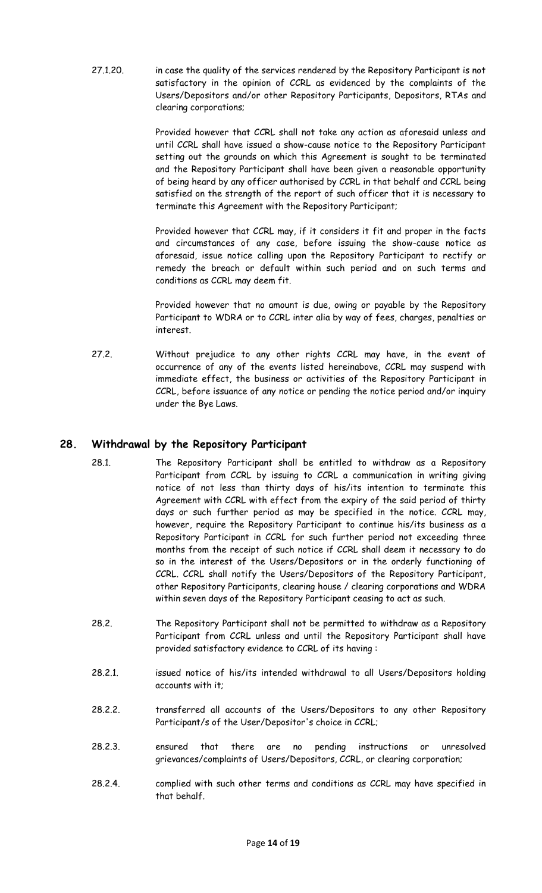27.1.20. in case the quality of the services rendered by the Repository Participant is not satisfactory in the opinion of CCRL as evidenced by the complaints of the Users/Depositors and/or other Repository Participants, Depositors, RTAs and clearing corporations;

> Provided however that CCRL shall not take any action as aforesaid unless and until CCRL shall have issued a show-cause notice to the Repository Participant setting out the grounds on which this Agreement is sought to be terminated and the Repository Participant shall have been given a reasonable opportunity of being heard by any officer authorised by CCRL in that behalf and CCRL being satisfied on the strength of the report of such officer that it is necessary to terminate this Agreement with the Repository Participant;

> Provided however that CCRL may, if it considers it fit and proper in the facts and circumstances of any case, before issuing the show-cause notice as aforesaid, issue notice calling upon the Repository Participant to rectify or remedy the breach or default within such period and on such terms and conditions as CCRL may deem fit.

> Provided however that no amount is due, owing or payable by the Repository Participant to WDRA or to CCRL inter alia by way of fees, charges, penalties or interest.

27.2. Without prejudice to any other rights CCRL may have, in the event of occurrence of any of the events listed hereinabove, CCRL may suspend with immediate effect, the business or activities of the Repository Participant in CCRL, before issuance of any notice or pending the notice period and/or inquiry under the Bye Laws.

## **28. Withdrawal by the Repository Participant**

- 28.1. The Repository Participant shall be entitled to withdraw as a Repository Participant from CCRL by issuing to CCRL a communication in writing giving notice of not less than thirty days of his/its intention to terminate this Agreement with CCRL with effect from the expiry of the said period of thirty days or such further period as may be specified in the notice. CCRL may, however, require the Repository Participant to continue his/its business as a Repository Participant in CCRL for such further period not exceeding three months from the receipt of such notice if CCRL shall deem it necessary to do so in the interest of the Users/Depositors or in the orderly functioning of CCRL. CCRL shall notify the Users/Depositors of the Repository Participant, other Repository Participants, clearing house / clearing corporations and WDRA within seven days of the Repository Participant ceasing to act as such.
- 28.2. The Repository Participant shall not be permitted to withdraw as a Repository Participant from CCRL unless and until the Repository Participant shall have provided satisfactory evidence to CCRL of its having :
- 28.2.1. issued notice of his/its intended withdrawal to all Users/Depositors holding accounts with it;
- 28.2.2. transferred all accounts of the Users/Depositors to any other Repository Participant/s of the User/Depositor's choice in CCRL;
- 28.2.3. ensured that there are no pending instructions or unresolved grievances/complaints of Users/Depositors, CCRL, or clearing corporation;
- 28.2.4. complied with such other terms and conditions as CCRL may have specified in that behalf.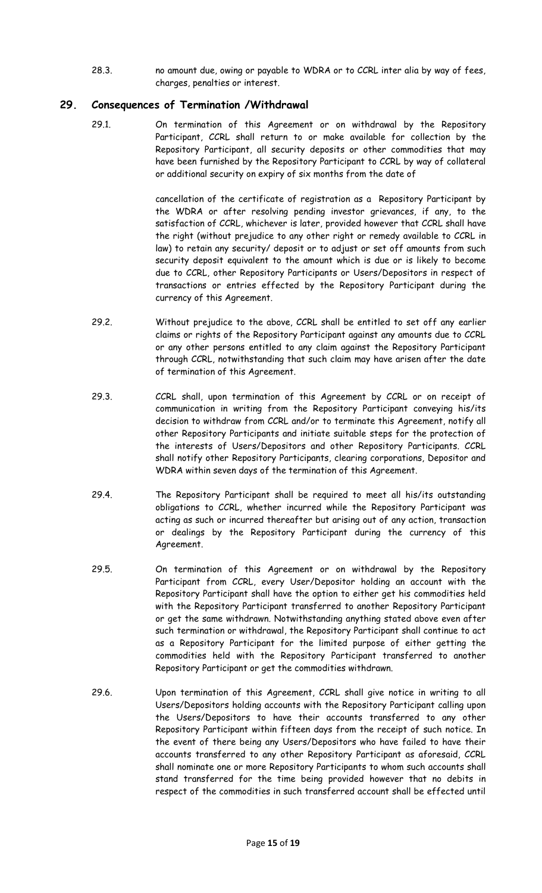28.3. no amount due, owing or payable to WDRA or to CCRL inter alia by way of fees, charges, penalties or interest.

### **29. Consequences of Termination /Withdrawal**

29.1. On termination of this Agreement or on withdrawal by the Repository Participant, CCRL shall return to or make available for collection by the Repository Participant, all security deposits or other commodities that may have been furnished by the Repository Participant to CCRL by way of collateral or additional security on expiry of six months from the date of

> cancellation of the certificate of registration as a Repository Participant by the WDRA or after resolving pending investor grievances, if any, to the satisfaction of CCRL, whichever is later, provided however that CCRL shall have the right (without prejudice to any other right or remedy available to CCRL in law) to retain any security/ deposit or to adjust or set off amounts from such security deposit equivalent to the amount which is due or is likely to become due to CCRL, other Repository Participants or Users/Depositors in respect of transactions or entries effected by the Repository Participant during the currency of this Agreement.

- 29.2. Without prejudice to the above, CCRL shall be entitled to set off any earlier claims or rights of the Repository Participant against any amounts due to CCRL or any other persons entitled to any claim against the Repository Participant through CCRL, notwithstanding that such claim may have arisen after the date of termination of this Agreement.
- 29.3. CCRL shall, upon termination of this Agreement by CCRL or on receipt of communication in writing from the Repository Participant conveying his/its decision to withdraw from CCRL and/or to terminate this Agreement, notify all other Repository Participants and initiate suitable steps for the protection of the interests of Users/Depositors and other Repository Participants. CCRL shall notify other Repository Participants, clearing corporations, Depositor and WDRA within seven days of the termination of this Agreement.
- 29.4. The Repository Participant shall be required to meet all his/its outstanding obligations to CCRL, whether incurred while the Repository Participant was acting as such or incurred thereafter but arising out of any action, transaction or dealings by the Repository Participant during the currency of this Agreement.
- 29.5. On termination of this Agreement or on withdrawal by the Repository Participant from CCRL, every User/Depositor holding an account with the Repository Participant shall have the option to either get his commodities held with the Repository Participant transferred to another Repository Participant or get the same withdrawn. Notwithstanding anything stated above even after such termination or withdrawal, the Repository Participant shall continue to act as a Repository Participant for the limited purpose of either getting the commodities held with the Repository Participant transferred to another Repository Participant or get the commodities withdrawn.
- 29.6. Upon termination of this Agreement, CCRL shall give notice in writing to all Users/Depositors holding accounts with the Repository Participant calling upon the Users/Depositors to have their accounts transferred to any other Repository Participant within fifteen days from the receipt of such notice. In the event of there being any Users/Depositors who have failed to have their accounts transferred to any other Repository Participant as aforesaid, CCRL shall nominate one or more Repository Participants to whom such accounts shall stand transferred for the time being provided however that no debits in respect of the commodities in such transferred account shall be effected until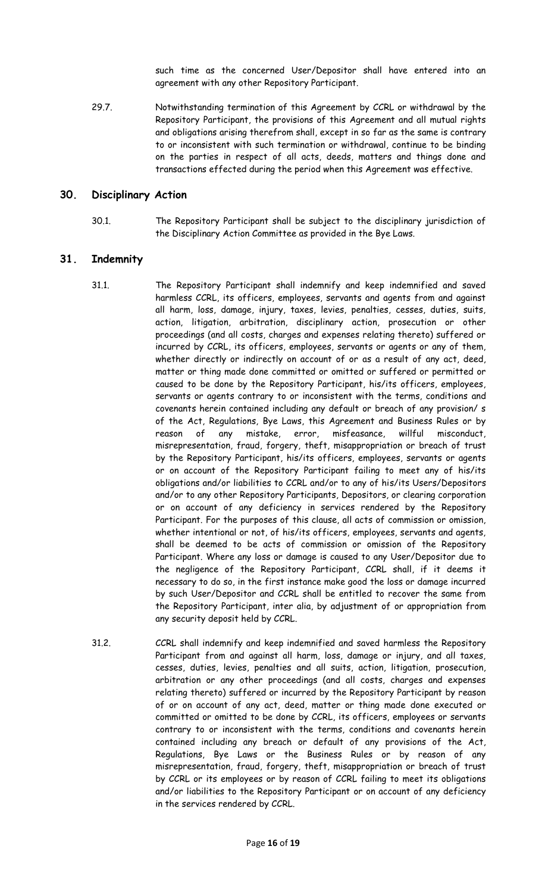such time as the concerned User/Depositor shall have entered into an agreement with any other Repository Participant.

29.7. Notwithstanding termination of this Agreement by CCRL or withdrawal by the Repository Participant, the provisions of this Agreement and all mutual rights and obligations arising therefrom shall, except in so far as the same is contrary to or inconsistent with such termination or withdrawal, continue to be binding on the parties in respect of all acts, deeds, matters and things done and transactions effected during the period when this Agreement was effective.

#### **30. Disciplinary Action**

30.1. The Repository Participant shall be subject to the disciplinary jurisdiction of the Disciplinary Action Committee as provided in the Bye Laws.

#### **31. Indemnity**

- 31.1. The Repository Participant shall indemnify and keep indemnified and saved harmless CCRL, its officers, employees, servants and agents from and against all harm, loss, damage, injury, taxes, levies, penalties, cesses, duties, suits, action, litigation, arbitration, disciplinary action, prosecution or other proceedings (and all costs, charges and expenses relating thereto) suffered or incurred by CCRL, its officers, employees, servants or agents or any of them, whether directly or indirectly on account of or as a result of any act, deed, matter or thing made done committed or omitted or suffered or permitted or caused to be done by the Repository Participant, his/its officers, employees, servants or agents contrary to or inconsistent with the terms, conditions and covenants herein contained including any default or breach of any provision/ s of the Act, Regulations, Bye Laws, this Agreement and Business Rules or by reason of any mistake, error, misfeasance, willful misconduct, misrepresentation, fraud, forgery, theft, misappropriation or breach of trust by the Repository Participant, his/its officers, employees, servants or agents or on account of the Repository Participant failing to meet any of his/its obligations and/or liabilities to CCRL and/or to any of his/its Users/Depositors and/or to any other Repository Participants, Depositors, or clearing corporation or on account of any deficiency in services rendered by the Repository Participant. For the purposes of this clause, all acts of commission or omission, whether intentional or not, of his/its officers, employees, servants and agents, shall be deemed to be acts of commission or omission of the Repository Participant. Where any loss or damage is caused to any User/Depositor due to the negligence of the Repository Participant, CCRL shall, if it deems it necessary to do so, in the first instance make good the loss or damage incurred by such User/Depositor and CCRL shall be entitled to recover the same from the Repository Participant, inter alia, by adjustment of or appropriation from any security deposit held by CCRL.
- 31.2. CCRL shall indemnify and keep indemnified and saved harmless the Repository Participant from and against all harm, loss, damage or injury, and all taxes, cesses, duties, levies, penalties and all suits, action, litigation, prosecution, arbitration or any other proceedings (and all costs, charges and expenses relating thereto) suffered or incurred by the Repository Participant by reason of or on account of any act, deed, matter or thing made done executed or committed or omitted to be done by CCRL, its officers, employees or servants contrary to or inconsistent with the terms, conditions and covenants herein contained including any breach or default of any provisions of the Act, Regulations, Bye Laws or the Business Rules or by reason of any misrepresentation, fraud, forgery, theft, misappropriation or breach of trust by CCRL or its employees or by reason of CCRL failing to meet its obligations and/or liabilities to the Repository Participant or on account of any deficiency in the services rendered by CCRL.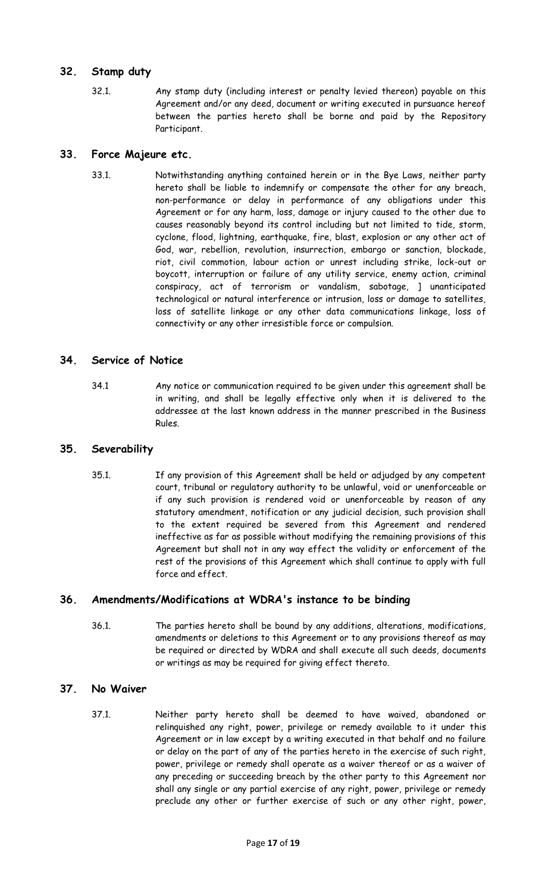### **32. Stamp duty**

32.1. Any stamp duty (including interest or penalty levied thereon) payable on this Agreement and/or any deed, document or writing executed in pursuance hereof between the parties hereto shall be borne and paid by the Repository Participant.

#### **33. Force Majeure etc.**

33.1. Notwithstanding anything contained herein or in the Bye Laws, neither party hereto shall be liable to indemnify or compensate the other for any breach, non-performance or delay in performance of any obligations under this Agreement or for any harm, loss, damage or injury caused to the other due to causes reasonably beyond its control including but not limited to tide, storm, cyclone, flood, lightning, earthquake, fire, blast, explosion or any other act of God, war, rebellion, revolution, insurrection, embargo or sanction, blockade, riot, civil commotion, labour action or unrest including strike, lock-out or boycott, interruption or failure of any utility service, enemy action, criminal conspiracy, act of terrorism or vandalism, sabotage, ] unanticipated technological or natural interference or intrusion, loss or damage to satellites, loss of satellite linkage or any other data communications linkage, loss of connectivity or any other irresistible force or compulsion.

### **34. Service of Notice**

34.1 Any notice or communication required to be given under this agreement shall be in writing, and shall be legally effective only when it is delivered to the addressee at the last known address in the manner prescribed in the Business Rules.

#### **35. Severability**

35.1. If any provision of this Agreement shall be held or adjudged by any competent court, tribunal or regulatory authority to be unlawful, void or unenforceable or if any such provision is rendered void or unenforceable by reason of any statutory amendment, notification or any judicial decision, such provision shall to the extent required be severed from this Agreement and rendered ineffective as far as possible without modifying the remaining provisions of this Agreement but shall not in any way effect the validity or enforcement of the rest of the provisions of this Agreement which shall continue to apply with full force and effect.

## **36. Amendments/Modifications at WDRA's instance to be binding**

36.1. The parties hereto shall be bound by any additions, alterations, modifications, amendments or deletions to this Agreement or to any provisions thereof as may be required or directed by WDRA and shall execute all such deeds, documents or writings as may be required for giving effect thereto.

#### **37. No Waiver**

37.1. Neither party hereto shall be deemed to have waived, abandoned or relinquished any right, power, privilege or remedy available to it under this Agreement or in law except by a writing executed in that behalf and no failure or delay on the part of any of the parties hereto in the exercise of such right, power, privilege or remedy shall operate as a waiver thereof or as a waiver of any preceding or succeeding breach by the other party to this Agreement nor shall any single or any partial exercise of any right, power, privilege or remedy preclude any other or further exercise of such or any other right, power,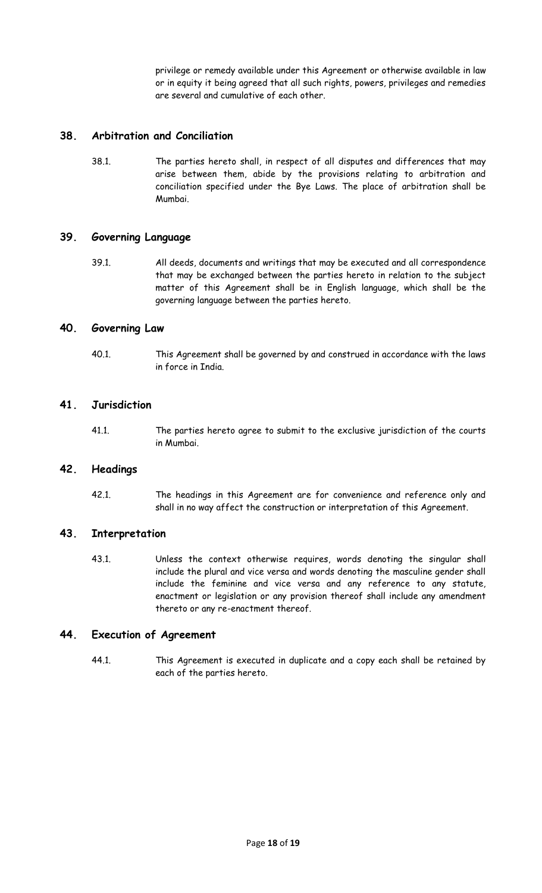privilege or remedy available under this Agreement or otherwise available in law or in equity it being agreed that all such rights, powers, privileges and remedies are several and cumulative of each other.

### **38. Arbitration and Conciliation**

38.1. The parties hereto shall, in respect of all disputes and differences that may arise between them, abide by the provisions relating to arbitration and conciliation specified under the Bye Laws. The place of arbitration shall be Mumbai.

#### **39. Governing Language**

39.1. All deeds, documents and writings that may be executed and all correspondence that may be exchanged between the parties hereto in relation to the subject matter of this Agreement shall be in English language, which shall be the governing language between the parties hereto.

#### **40. Governing Law**

40.1. This Agreement shall be governed by and construed in accordance with the laws in force in India.

#### **41. Jurisdiction**

41.1. The parties hereto agree to submit to the exclusive jurisdiction of the courts in Mumbai.

#### **42. Headings**

42.1. The headings in this Agreement are for convenience and reference only and shall in no way affect the construction or interpretation of this Agreement.

#### **43. Interpretation**

43.1. Unless the context otherwise requires, words denoting the singular shall include the plural and vice versa and words denoting the masculine gender shall include the feminine and vice versa and any reference to any statute, enactment or legislation or any provision thereof shall include any amendment thereto or any re-enactment thereof.

#### **44. Execution of Agreement**

44.1. This Agreement is executed in duplicate and a copy each shall be retained by each of the parties hereto.